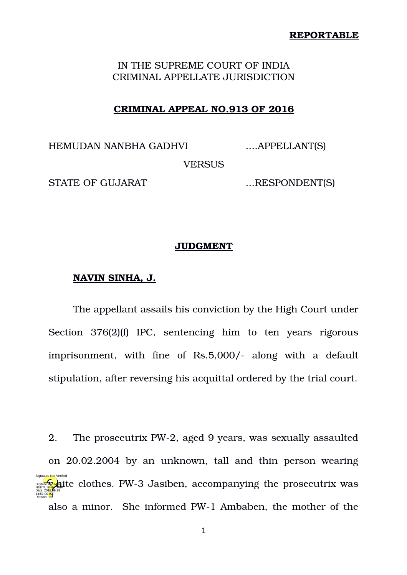### **REPORTABLE**

# IN THE SUPREME COURT OF INDIA CRIMINAL APPELLATE JURISDICTION

## **CRIMINAL APPEAL NO.913 OF 2016**

HEMUDAN NANBHA GADHVI ....APPELLANT(S)

VERSUS

STATE OF GUJARAT ....RESPONDENT(S)

## **JUDGMENT**

### **NAVIN SINHA, J.**

The appellant assails his conviction by the High Court under Section 376(2)(f) IPC, sentencing him to ten years rigorous imprisonment, with fine of Rs.5,000/- along with a default stipulation, after reversing his acquittal ordered by the trial court.

2. The prosecutrix PW-2, aged 9 years, was sexually assaulted on 20.02.2004 by an unknown, tall and thin person wearing **WHEET REPARANCE CLOTHES. PW-3 Jasiben, accompanying the prosecutrix was** also a minor. She informed PW-1 Ambaben, the mother of the Date: 2018.09.28 14:57:00 IST Reason: Signature Not Verified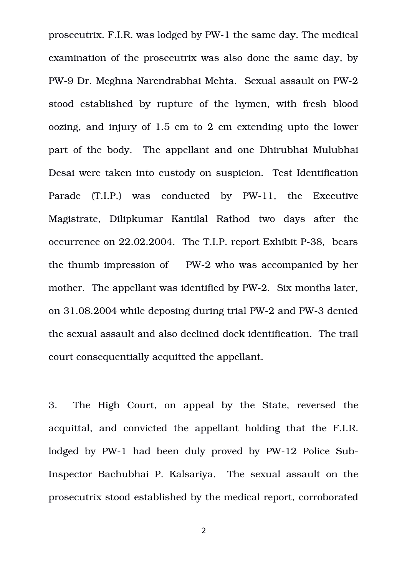prosecutrix. F.I.R. was lodged by PW-1 the same day. The medical examination of the prosecutrix was also done the same day, by PW-9 Dr. Meghna Narendrabhai Mehta. Sexual assault on PW-2 stood established by rupture of the hymen, with fresh blood oozing, and injury of 1.5 cm to 2 cm extending upto the lower part of the body. The appellant and one Dhirubhai Mulubhai Desai were taken into custody on suspicion. Test Identification Parade (T.I.P.) was conducted by PW-11, the Executive Magistrate, Dilipkumar Kantilal Rathod two days after the occurrence on 22.02.2004. The T.I.P. report Exhibit P-38, bears the thumb impression of PW-2 who was accompanied by her mother. The appellant was identified by PW-2. Six months later, on 31.08.2004 while deposing during trial PW-2 and PW-3 denied the sexual assault and also declined dock identification. The trail court consequentially acquitted the appellant.

3. The High Court, on appeal by the State, reversed the acquittal, and convicted the appellant holding that the F.I.R. lodged by PW-1 had been duly proved by PW-12 Police Sub-Inspector Bachubhai P. Kalsariya. The sexual assault on the prosecutrix stood established by the medical report, corroborated

2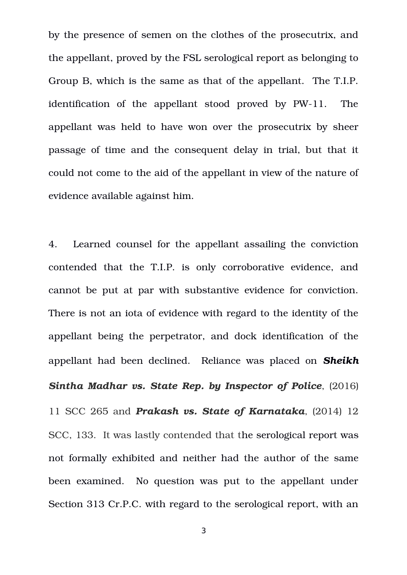by the presence of semen on the clothes of the prosecutrix, and the appellant, proved by the FSL serological report as belonging to Group B, which is the same as that of the appellant. The T.I.P. identification of the appellant stood proved by PW-11. The appellant was held to have won over the prosecutrix by sheer passage of time and the consequent delay in trial, but that it could not come to the aid of the appellant in view of the nature of evidence available against him.

4. Learned counsel for the appellant assailing the conviction contended that the T.I.P. is only corroborative evidence, and cannot be put at par with substantive evidence for conviction. There is not an iota of evidence with regard to the identity of the appellant being the perpetrator, and dock identification of the appellant had been declined. Reliance was placed on *Sheikh Sintha Madhar vs. State Rep. by Inspector of Police*, (2016) 11 SCC 265 and *Prakash vs. State of Karnataka*, (2014) 12 SCC, 133. It was lastly contended that the serological report was not formally exhibited and neither had the author of the same been examined. No question was put to the appellant under Section 313 Cr.P.C. with regard to the serological report, with an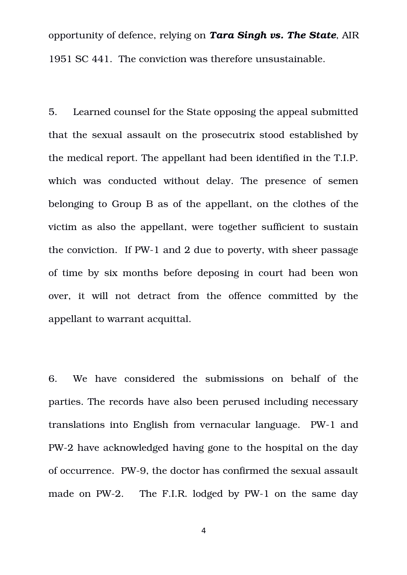opportunity of defence, relying on *Tara Singh vs. The State*, AIR 1951 SC 441. The conviction was therefore unsustainable.

5. Learned counsel for the State opposing the appeal submitted that the sexual assault on the prosecutrix stood established by the medical report. The appellant had been identified in the T.I.P. which was conducted without delay. The presence of semen belonging to Group B as of the appellant, on the clothes of the victim as also the appellant, were together sufficient to sustain the conviction. If PW-1 and 2 due to poverty, with sheer passage of time by six months before deposing in court had been won over, it will not detract from the offence committed by the appellant to warrant acquittal.

6. We have considered the submissions on behalf of the parties. The records have also been perused including necessary translations into English from vernacular language. PW-1 and PW2 have acknowledged having gone to the hospital on the day of occurrence. PW-9, the doctor has confirmed the sexual assault made on PW-2. The F.I.R. lodged by PW-1 on the same day

4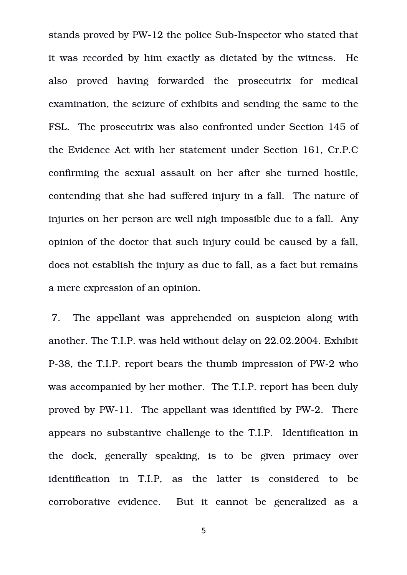stands proved by PW-12 the police Sub-Inspector who stated that it was recorded by him exactly as dictated by the witness. He also proved having forwarded the prosecutrix for medical examination, the seizure of exhibits and sending the same to the FSL. The prosecutrix was also confronted under Section 145 of the Evidence Act with her statement under Section 161, Cr.P.C confirming the sexual assault on her after she turned hostile, contending that she had suffered injury in a fall. The nature of injuries on her person are well nigh impossible due to a fall. Any opinion of the doctor that such injury could be caused by a fall, does not establish the injury as due to fall, as a fact but remains a mere expression of an opinion.

 7. The appellant was apprehended on suspicion along with another. The T.I.P. was held without delay on 22.02.2004. Exhibit P-38, the T.I.P. report bears the thumb impression of PW-2 who was accompanied by her mother. The T.I.P. report has been duly proved by PW-11. The appellant was identified by PW-2. There appears no substantive challenge to the T.I.P. Identification in the dock, generally speaking, is to be given primacy over identification in T.I.P, as the latter is considered to be corroborative evidence. But it cannot be generalized as a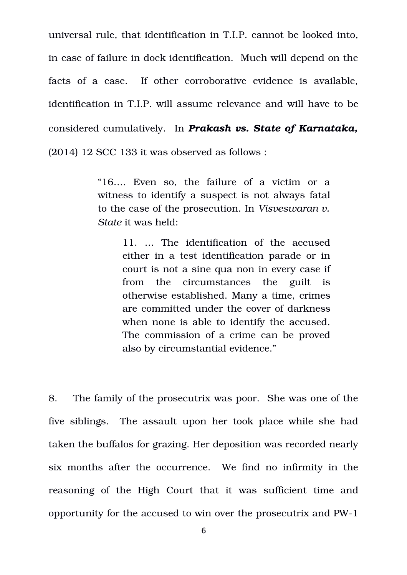universal rule, that identification in T.I.P. cannot be looked into, in case of failure in dock identification. Much will depend on the facts of a case. If other corroborative evidence is available, identification in T.I.P. will assume relevance and will have to be considered cumulatively. In *Prakash vs. State of Karnataka,* (2014) 12 SCC 133 it was observed as follows :

> "16.... Even so, the failure of a victim or a witness to identify a suspect is not always fatal to the case of the prosecution. In *Visveswaran v. State* it was held:

> > 11. ... The identification of the accused either in a test identification parade or in court is not a sine qua non in every case if from the circumstances the guilt is otherwise established. Many a time, crimes are committed under the cover of darkness when none is able to identify the accused. The commission of a crime can be proved also by circumstantial evidence."

8. The family of the prosecutrix was poor. She was one of the five siblings. The assault upon her took place while she had taken the buffalos for grazing. Her deposition was recorded nearly six months after the occurrence. We find no infirmity in the reasoning of the High Court that it was sufficient time and opportunity for the accused to win over the prosecutrix and PW1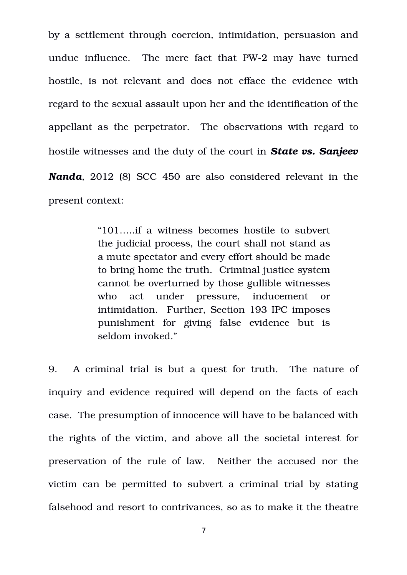by a settlement through coercion, intimidation, persuasion and undue influence. The mere fact that PW-2 may have turned hostile, is not relevant and does not efface the evidence with regard to the sexual assault upon her and the identification of the appellant as the perpetrator. The observations with regard to hostile witnesses and the duty of the court in *State vs. Sanjeev Nanda*, 2012 (8) SCC 450 are also considered relevant in the present context:

> "101…..if a witness becomes hostile to subvert the judicial process, the court shall not stand as a mute spectator and every effort should be made to bring home the truth. Criminal justice system cannot be overturned by those gullible witnesses who act under pressure, inducement or intimidation. Further, Section 193 IPC imposes punishment for giving false evidence but is seldom invoked."

9. A criminal trial is but a quest for truth. The nature of inquiry and evidence required will depend on the facts of each case. The presumption of innocence will have to be balanced with the rights of the victim, and above all the societal interest for preservation of the rule of law. Neither the accused nor the victim can be permitted to subvert a criminal trial by stating falsehood and resort to contrivances, so as to make it the theatre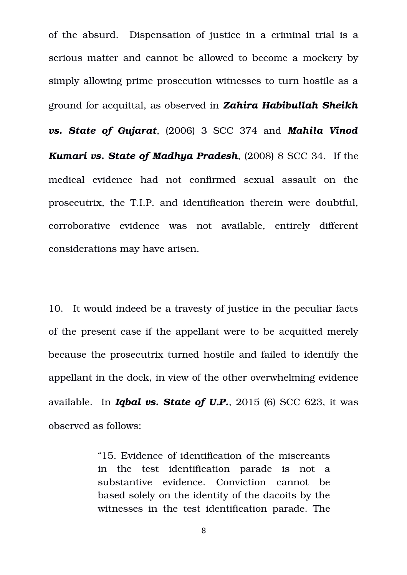of the absurd. Dispensation of justice in a criminal trial is a serious matter and cannot be allowed to become a mockery by simply allowing prime prosecution witnesses to turn hostile as a ground for acquittal, as observed in *Zahira Habibullah Sheikh vs. State of Gujarat*, (2006) 3 SCC 374 and *Mahila Vinod Kumari vs. State of Madhya Pradesh*, (2008) 8 SCC 34. If the medical evidence had not confirmed sexual assault on the prosecutrix, the T.I.P. and identification therein were doubtful, corroborative evidence was not available, entirely different considerations may have arisen.

10. It would indeed be a travesty of justice in the peculiar facts of the present case if the appellant were to be acquitted merely because the prosecutrix turned hostile and failed to identify the appellant in the dock, in view of the other overwhelming evidence available. In *Iqbal vs. State of U.P.*, 2015 (6) SCC 623, it was observed as follows:

> "15. Evidence of identification of the miscreants in the test identification parade is not a substantive evidence. Conviction cannot be based solely on the identity of the dacoits by the witnesses in the test identification parade. The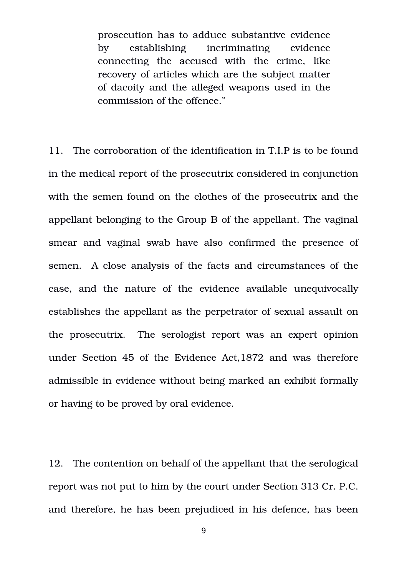prosecution has to adduce substantive evidence by establishing incriminating evidence connecting the accused with the crime, like recovery of articles which are the subject matter of dacoity and the alleged weapons used in the commission of the offence."

11. The corroboration of the identification in T.I.P is to be found in the medical report of the prosecutrix considered in conjunction with the semen found on the clothes of the prosecutrix and the appellant belonging to the Group B of the appellant. The vaginal smear and vaginal swab have also confirmed the presence of semen. A close analysis of the facts and circumstances of the case, and the nature of the evidence available unequivocally establishes the appellant as the perpetrator of sexual assault on the prosecutrix. The serologist report was an expert opinion under Section 45 of the Evidence Act,1872 and was therefore admissible in evidence without being marked an exhibit formally or having to be proved by oral evidence.

12. The contention on behalf of the appellant that the serological report was not put to him by the court under Section 313 Cr. P.C. and therefore, he has been prejudiced in his defence, has been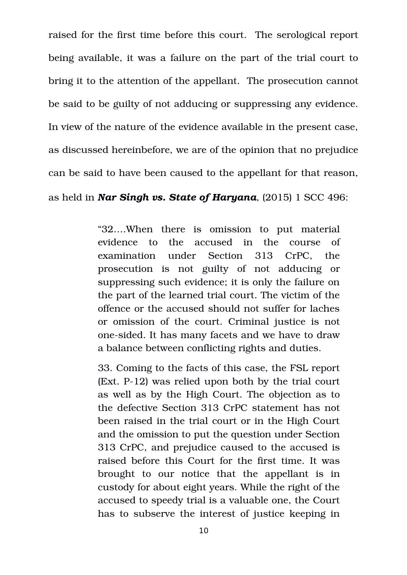raised for the first time before this court. The serological report being available, it was a failure on the part of the trial court to bring it to the attention of the appellant. The prosecution cannot be said to be guilty of not adducing or suppressing any evidence. In view of the nature of the evidence available in the present case, as discussed hereinbefore, we are of the opinion that no prejudice can be said to have been caused to the appellant for that reason, as held in *Nar Singh vs. State of Haryana*, (2015) 1 SCC 496:

> "32....When there is omission to put material evidence to the accused in the course of examination under Section 313 CrPC, the prosecution is not guilty of not adducing or suppressing such evidence; it is only the failure on the part of the learned trial court. The victim of the offence or the accused should not suffer for laches or omission of the court. Criminal justice is not one-sided. It has many facets and we have to draw a balance between conflicting rights and duties.

> 33. Coming to the facts of this case, the FSL report (Ext. P12) was relied upon both by the trial court as well as by the High Court. The objection as to the defective Section 313 CrPC statement has not been raised in the trial court or in the High Court and the omission to put the question under Section 313 CrPC, and prejudice caused to the accused is raised before this Court for the first time. It was brought to our notice that the appellant is in custody for about eight years. While the right of the accused to speedy trial is a valuable one, the Court has to subserve the interest of justice keeping in